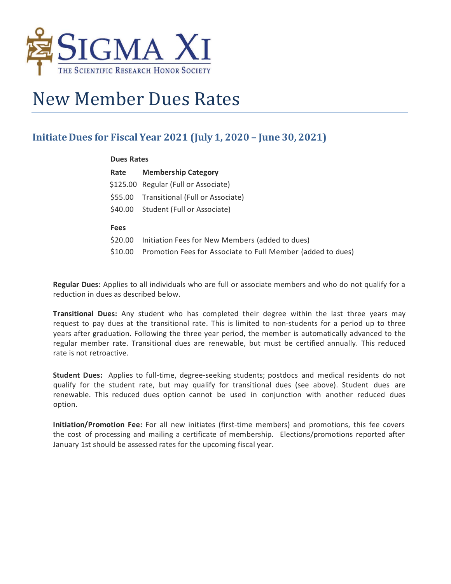

## New Member Dues Rates

## **Initiate Dues for Fiscal Year 2021 (July 1, 2020 – June 30, 2021)**

## **Dues Rates Rate Membership Category** \$125.00 Regular (Full or Associate) \$55.00 Transitional (Full or Associate) \$40.00 Student (Full or Associate) **Fees** \$20.00 Initiation Fees for New Members (added to dues) \$10.00 Promotion Fees for Associate to Full Member (added to dues)

**Regular Dues:** Applies to all individuals who are full or associate members and who do not qualify for a reduction in dues as described below.

**Transitional Dues:** Any student who has completed their degree within the last three years may request to pay dues at the transitional rate. This is limited to non-students for a period up to three years after graduation. Following the three year period, the member is automatically advanced to the regular member rate. Transitional dues are renewable, but must be certified annually. This reduced rate is not retroactive.

**Student Dues:** Applies to full-time, degree-seeking students; postdocs and medical residents do not qualify for the student rate, but may qualify for transitional dues (see above). Student dues are renewable. This reduced dues option cannot be used in conjunction with another reduced dues option.

**Initiation/Promotion Fee:** For all new initiates (first-time members) and promotions, this fee covers the cost of processing and mailing a certificate of membership. Elections/promotions reported after January 1st should be assessed rates for the upcoming fiscal year.